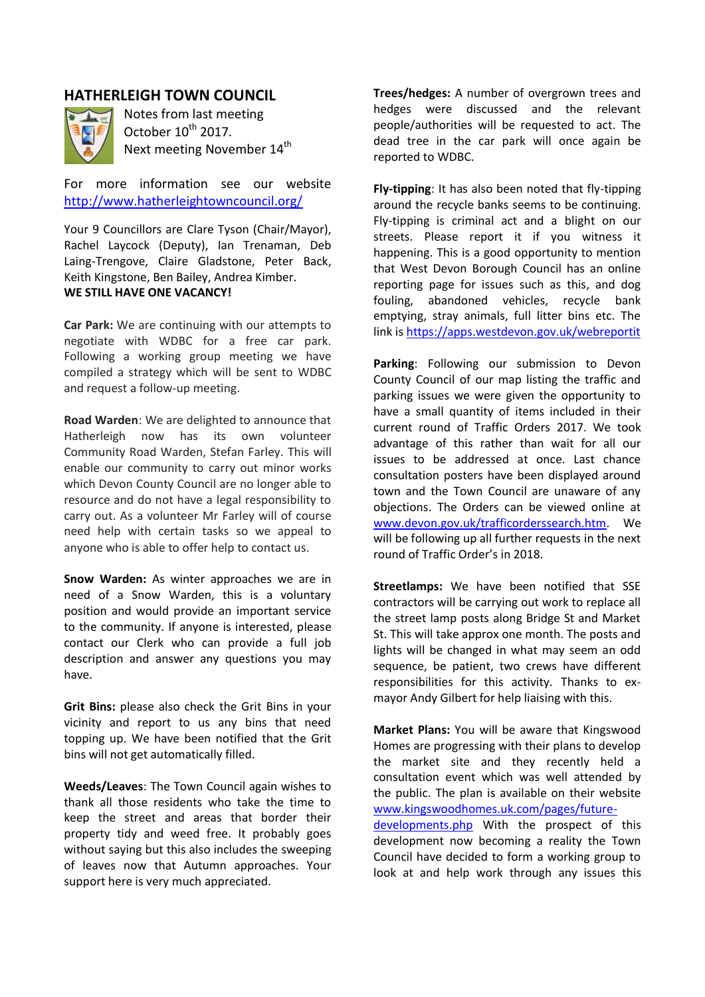## **HATHERLEIGH TOWN COUNCIL**



Notes from last meeting October 10<sup>th</sup> 2017. Next meeting November 14<sup>th</sup>

For more information see our website <http://www.hatherleightowncouncil.org/>

Your 9 Councillors are Clare Tyson (Chair/Mayor), Rachel Laycock (Deputy), Ian Trenaman, Deb Laing-Trengove, Claire Gladstone, Peter Back, Keith Kingstone, Ben Bailey, Andrea Kimber. **WE STILL HAVE ONE VACANCY!**

**Car Park:** We are continuing with our attempts to negotiate with WDBC for a free car park. Following a working group meeting we have compiled a strategy which will be sent to WDBC and request a follow-up meeting.

**Road Warden**: We are delighted to announce that Hatherleigh now has its own volunteer Community Road Warden, Stefan Farley. This will enable our community to carry out minor works which Devon County Council are no longer able to resource and do not have a legal responsibility to carry out. As a volunteer Mr Farley will of course need help with certain tasks so we appeal to anyone who is able to offer help to contact us.

**Snow Warden:** As winter approaches we are in need of a Snow Warden, this is a voluntary position and would provide an important service to the community. If anyone is interested, please contact our Clerk who can provide a full job description and answer any questions you may have.

**Grit Bins:** please also check the Grit Bins in your vicinity and report to us any bins that need topping up. We have been notified that the Grit bins will not get automatically filled.

**Weeds/Leaves**: The Town Council again wishes to thank all those residents who take the time to keep the street and areas that border their property tidy and weed free. It probably goes without saying but this also includes the sweeping of leaves now that Autumn approaches. Your support here is very much appreciated.

**Trees/hedges:** A number of overgrown trees and hedges were discussed and the relevant people/authorities will be requested to act. The dead tree in the car park will once again be reported to WDBC.

**Fly-tipping**: It has also been noted that fly-tipping around the recycle banks seems to be continuing. Fly-tipping is criminal act and a blight on our streets. Please report it if you witness it happening. This is a good opportunity to mention that West Devon Borough Council has an online reporting page for issues such as this, and dog fouling, abandoned vehicles, recycle bank emptying, stray animals, full litter bins etc. The link is<https://apps.westdevon.gov.uk/webreportit>

**Parking**: Following our submission to Devon County Council of our map listing the traffic and parking issues we were given the opportunity to have a small quantity of items included in their current round of Traffic Orders 2017. We took advantage of this rather than wait for all our issues to be addressed at once. Last chance consultation posters have been displayed around town and the Town Council are unaware of any objections. The Orders can be viewed online at [www.devon.gov.uk/trafficorderssearch.htm.](http://www.devon.gov.uk/trafficorderssearch.htm) We will be following up all further requests in the next round of Traffic Order's in 2018.

**Streetlamps:** We have been notified that SSE contractors will be carrying out work to replace all the street lamp posts along Bridge St and Market St. This will take approx one month. The posts and lights will be changed in what may seem an odd sequence, be patient, two crews have different responsibilities for this activity. Thanks to exmayor Andy Gilbert for help liaising with this.

**Market Plans:** You will be aware that Kingswood Homes are progressing with their plans to develop the market site and they recently held a consultation event which was well attended by the public. The plan is available on their website [www.kingswoodhomes.uk.com/pages/future](http://www.kingswoodhomes.uk.com/pages/future-developments.php)[developments.php](http://www.kingswoodhomes.uk.com/pages/future-developments.php) With the prospect of this development now becoming a reality the Town Council have decided to form a working group to look at and help work through any issues this